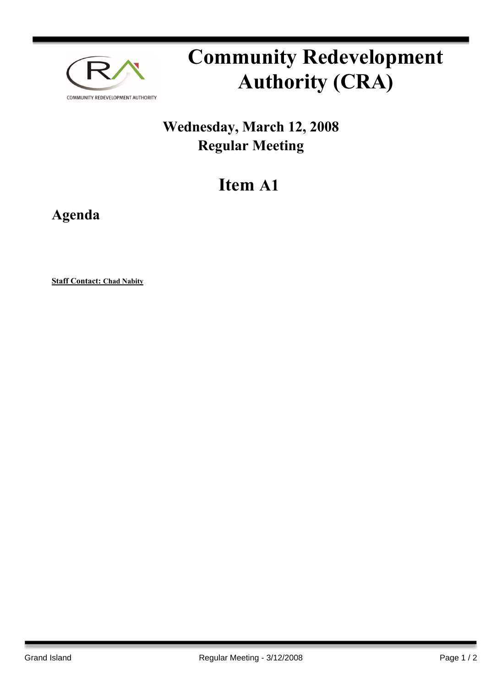

# **Community Redevelopment Authority (CRA)**

## **Wednesday, March 12, 2008 Regular Meeting**

## **Item A1**

**Agenda**

**Staff Contact: Chad Nabity**